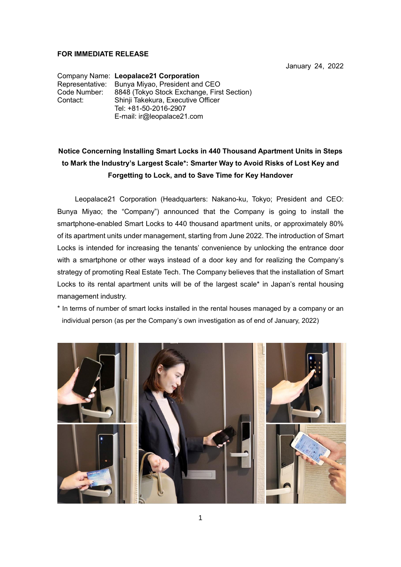## **FOR IMMEDIATE RELEASE**

January 24, 2022

Company Name: **Leopalace21 Corporation** Representative: Bunya Miyao, President and CEO Code Number: 8848 (Tokyo Stock Exchange, First Section) Shinii Takekura, Executive Officer Tel: +81-50-2016-2907 E-mail: ir@leopalace21.com

# **Notice Concerning Installing Smart Locks in 440 Thousand Apartment Units in Steps to Mark the Industry's Largest Scale\*: Smarter Way to Avoid Risks of Lost Key and Forgetting to Lock, and to Save Time for Key Handover**

Leopalace21 Corporation (Headquarters: Nakano-ku, Tokyo; President and CEO: Bunya Miyao; the "Company") announced that the Company is going to install the smartphone-enabled Smart Locks to 440 thousand apartment units, or approximately 80% of its apartment units under management, starting from June 2022. The introduction of Smart Locks is intended for increasing the tenants' convenience by unlocking the entrance door with a smartphone or other ways instead of a door key and for realizing the Company's strategy of promoting Real Estate Tech. The Company believes that the installation of Smart Locks to its rental apartment units will be of the largest scale\* in Japan's rental housing management industry.

\* In terms of number of smart locks installed in the rental houses managed by a company or an individual person (as per the Company's own investigation as of end of January, 2022)

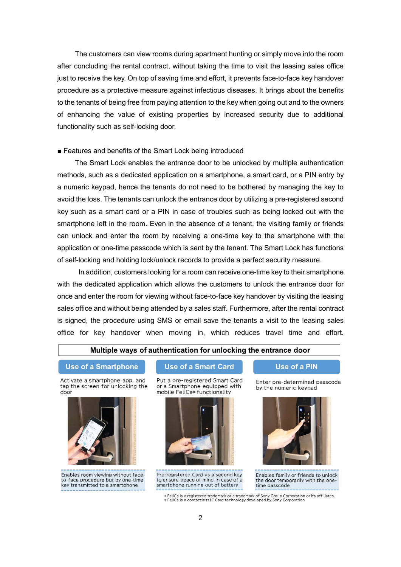The customers can view rooms during apartment hunting or simply move into the room after concluding the rental contract, without taking the time to visit the leasing sales office just to receive the key. On top of saving time and effort, it prevents face-to-face key handover procedure as a protective measure against infectious diseases. It brings about the benefits to the tenants of being free from paying attention to the key when going out and to the owners of enhancing the value of existing properties by increased security due to additional functionality such as self-locking door.

#### ■ Features and benefits of the Smart Lock being introduced

The Smart Lock enables the entrance door to be unlocked by multiple authentication methods, such as a dedicated application on a smartphone, a smart card, or a PIN entry by a numeric keypad, hence the tenants do not need to be bothered by managing the key to avoid the loss. The tenants can unlock the entrance door by utilizing a pre-registered second key such as a smart card or a PIN in case of troubles such as being locked out with the smartphone left in the room. Even in the absence of a tenant, the visiting family or friends can unlock and enter the room by receiving a one-time key to the smartphone with the application or one-time passcode which is sent by the tenant. The Smart Lock has functions of self-locking and holding lock/unlock records to provide a perfect security measure.

In addition, customers looking for a room can receive one-time key to their smartphone with the dedicated application which allows the customers to unlock the entrance door for once and enter the room for viewing without face-to-face key handover by visiting the leasing sales office and without being attended by a sales staff. Furthermore, after the rental contract is signed, the procedure using SMS or email save the tenants a visit to the leasing sales office for key handover when moving in, which reduces travel time and effort.

#### Multiple ways of authentication for unlocking the entrance door

#### **Use of a Smartphone**

Activate a smartphone app. and tap the screen for unlocking the door



Enables room viewing without faceto-face procedure but by one-time key transmitted to a smartphone

**Use of a Smart Card** 

Put a pre-registered Smart Card or a Smartphone equipped with mobile FeliCa\* functionality



Pre-registered Card as a second key to ensure peace of mind in case of a smartphone running out of battery

**Use of a PIN** 

Enter pre-determined passcode by the numeric keypad



Enables family or friends to unlock the door temporarily with the onetime passcode

\* FeliCa is a registered trademark or a trademark of Sony Group Corporation or its affiliates.<br>\* FeliCa is a contactless IC Card technology developed by Sony Corporation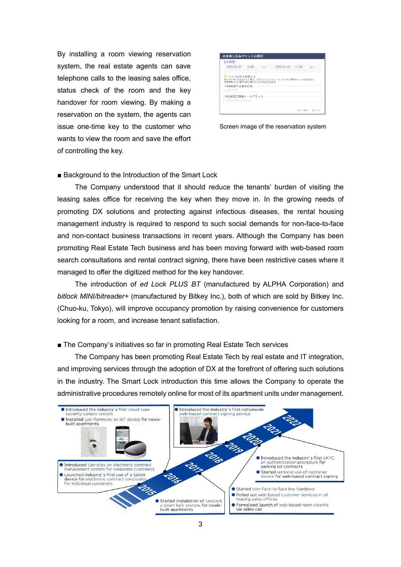By installing a room viewing reservation system, the real estate agents can save telephone calls to the leasing sales office, status check of the room and the key handover for room viewing. By making a reservation on the system, the agents can issue one-time key to the customer who wants to view the room and save the effort of controlling the key.

| 使用期間:<br>2022/01/24 15:00 から        |  | 2022/01/24 17:00                           |  |
|-------------------------------------|--|--------------------------------------------|--|
|                                     |  |                                            |  |
|                                     |  |                                            |  |
|                                     |  |                                            |  |
| ■ セルフ内見を希望する                        |  | 楽セルフ内見を希望された場合、ご入力いただいたメールアドレスに変内のメールが送信され |  |
| 指定時間内のみ使用可能な物件の力ギが発行されます            |  |                                            |  |
| 内見希望代表者お名前<br>山田 太郎                 |  |                                            |  |
|                                     |  |                                            |  |
| 内見希望代表者メールアドレス<br>sample@example.jp |  |                                            |  |

Screen image of the reservation system

#### ■ Background to the Introduction of the Smart Lock

The Company understood that it should reduce the tenants' burden of visiting the leasing sales office for receiving the key when they move in. In the growing needs of promoting DX solutions and protecting against infectious diseases, the rental housing management industry is required to respond to such social demands for non-face-to-face and non-contact business transactions in recent years. Although the Company has been promoting Real Estate Tech business and has been moving forward with web-based room search consultations and rental contract signing, there have been restrictive cases where it managed to offer the digitized method for the key handover.

The introduction of *ed Lock PLUS BT* (manufactured by ALPHA Corporation) and *bitlock MINI/bitreader+* (manufactured by Bitkey Inc.), both of which are sold by Bitkey Inc. (Chuo-ku, Tokyo), will improve occupancy promotion by raising convenience for customers looking for a room, and increase tenant satisfaction.

#### ■ The Company's initiatives so far in promoting Real Estate Tech services

 The Company has been promoting Real Estate Tech by real estate and IT integration, and improving services through the adoption of DX at the forefront of offering such solutions in the industry. The Smart Lock introduction this time allows the Company to operate the administrative procedures remotely online for most of its apartment units under management.